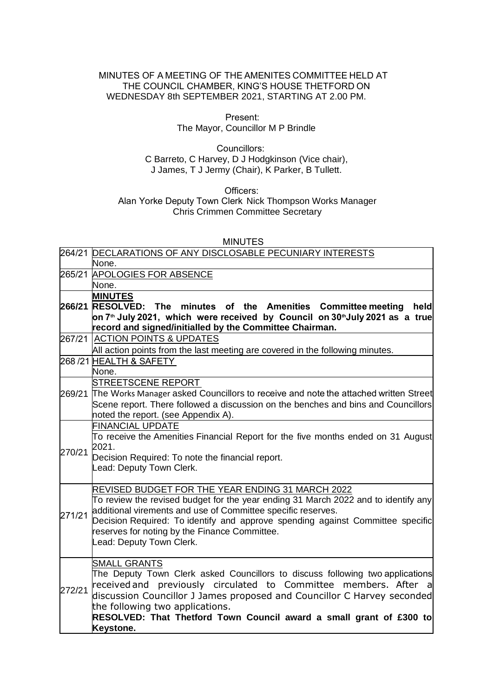#### MINUTES OF A MEETING OF THE AMENITES COMMITTEE HELD AT    THE COUNCIL CHAMBER, KING'S HOUSE THETFORD ON  WEDNESDAY 8th SEPTEMBER 2021, STARTING AT 2.00 PM.

## Present:    The Mayor, Councillor M P Brindle

Councillors:      C Barreto, C Harvey, D J Hodgkinson (Vice chair), J James, T J Jermy (Chair), K Parker, B Tullett.

Officers:      Alan Yorke Deputy Town Clerk  Nick Thompson Works Manager Chris Crimmen Committee Secretary

MINUTES  

|        | 264/21 DECLARATIONS OF ANY DISCLOSABLE PECUNIARY INTERESTS                                           |
|--------|------------------------------------------------------------------------------------------------------|
|        | None.                                                                                                |
| 265/21 | <b>APOLOGIES FOR ABSENCE</b>                                                                         |
|        | None.                                                                                                |
|        | <b>MINUTES</b>                                                                                       |
|        | 266/21 RESOLVED:<br>The minutes of the Amenities Committee meeting<br>held                           |
|        | on 7 <sup>th</sup> July 2021, which were received by Council on 30 <sup>th</sup> July 2021 as a true |
|        | record and signed/initialled by the Committee Chairman.                                              |
|        | 267/21 ACTION POINTS & UPDATES                                                                       |
|        | All action points from the last meeting are covered in the following minutes.                        |
|        | 268/21 HEALTH & SAFETY                                                                               |
|        | None.                                                                                                |
|        | STREETSCENE REPORT                                                                                   |
|        | 269/21 The Works Manager asked Councillors to receive and note the attached written Street           |
|        | Scene report. There followed a discussion on the benches and bins and Councillors                    |
|        | noted the report. (see Appendix A).                                                                  |
| 270/21 | <b>FINANCIAL UPDATE</b>                                                                              |
|        | To receive the Amenities Financial Report for the five months ended on 31 August<br>2021.            |
|        |                                                                                                      |
|        | Decision Required: To note the financial report.<br>Lead: Deputy Town Clerk.                         |
|        |                                                                                                      |
| 271/21 | REVISED BUDGET FOR THE YEAR ENDING 31 MARCH 2022                                                     |
|        | To review the revised budget for the year ending 31 March 2022 and to identify any                   |
|        | additional virements and use of Committee specific reserves.                                         |
|        | Decision Required: To identify and approve spending against Committee specific                       |
|        | reserves for noting by the Finance Committee.                                                        |
|        | Lead: Deputy Town Clerk.                                                                             |
|        |                                                                                                      |
|        | <b>SMALL GRANTS</b>                                                                                  |
|        | The Deputy Town Clerk asked Councillors to discuss following two applications                        |
| 272/21 | received and previously circulated to Committee members. After a                                     |
|        | discussion Councillor J James proposed and Councillor C Harvey seconded                              |
|        | the following two applications.                                                                      |
|        | RESOLVED: That Thetford Town Council award a small grant of £300 to                                  |
|        | Keystone.                                                                                            |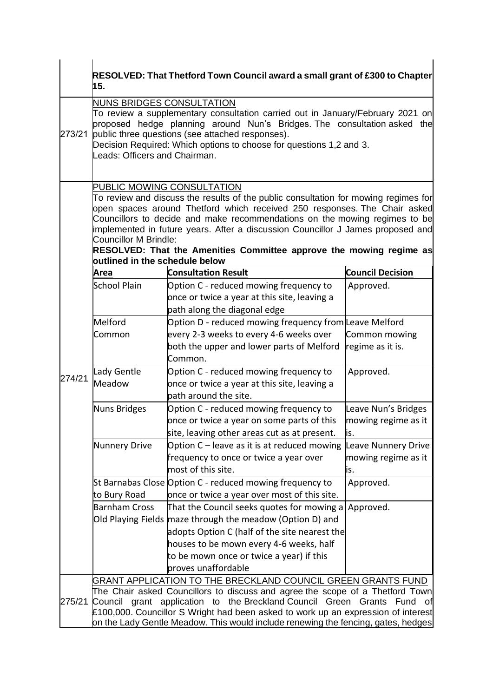|        | 15.                                                                                                                                                                                                                                                                                                                                                                                                                                                                                                      | RESOLVED: That Thetford Town Council award a small grant of £300 to Chapter                                                                                                                                                                                                                                                                                                       |                                                    |  |  |
|--------|----------------------------------------------------------------------------------------------------------------------------------------------------------------------------------------------------------------------------------------------------------------------------------------------------------------------------------------------------------------------------------------------------------------------------------------------------------------------------------------------------------|-----------------------------------------------------------------------------------------------------------------------------------------------------------------------------------------------------------------------------------------------------------------------------------------------------------------------------------------------------------------------------------|----------------------------------------------------|--|--|
| 273/21 | <b>NUNS BRIDGES CONSULTATION</b><br>Leads: Officers and Chairman.                                                                                                                                                                                                                                                                                                                                                                                                                                        | To review a supplementary consultation carried out in January/February 2021 on<br>proposed hedge planning around Nun's Bridges. The consultation asked the<br>public three questions (see attached responses).<br>Decision Required: Which options to choose for questions 1,2 and 3.                                                                                             |                                                    |  |  |
|        | PUBLIC MOWING CONSULTATION<br>To review and discuss the results of the public consultation for mowing regimes for<br>open spaces around Thetford which received 250 responses. The Chair asked<br>Councillors to decide and make recommendations on the mowing regimes to be<br>implemented in future years. After a discussion Councillor J James proposed and<br><b>Councillor M Brindle:</b><br>RESOLVED: That the Amenities Committee approve the mowing regime as<br>outlined in the schedule below |                                                                                                                                                                                                                                                                                                                                                                                   |                                                    |  |  |
|        | <b>Area</b>                                                                                                                                                                                                                                                                                                                                                                                                                                                                                              | <b>Consultation Result</b>                                                                                                                                                                                                                                                                                                                                                        | <b>Council Decision</b>                            |  |  |
| 274/21 | <b>School Plain</b>                                                                                                                                                                                                                                                                                                                                                                                                                                                                                      | Option C - reduced mowing frequency to<br>once or twice a year at this site, leaving a<br>path along the diagonal edge                                                                                                                                                                                                                                                            | Approved.                                          |  |  |
|        | Melford<br>Common                                                                                                                                                                                                                                                                                                                                                                                                                                                                                        | Option D - reduced mowing frequency from Leave Melford<br>every 2-3 weeks to every 4-6 weeks over<br>both the upper and lower parts of Melford<br>Common.                                                                                                                                                                                                                         | Common mowing<br>regime as it is.                  |  |  |
|        | Lady Gentle<br>Meadow                                                                                                                                                                                                                                                                                                                                                                                                                                                                                    | Option C - reduced mowing frequency to<br>once or twice a year at this site, leaving a<br>path around the site.                                                                                                                                                                                                                                                                   | Approved.                                          |  |  |
|        | <b>Nuns Bridges</b>                                                                                                                                                                                                                                                                                                                                                                                                                                                                                      | Option C - reduced mowing frequency to<br>once or twice a year on some parts of this<br>site, leaving other areas cut as at present.                                                                                                                                                                                                                                              | Leave Nun's Bridges<br>mowing regime as it<br>lis. |  |  |
|        | <b>Nunnery Drive</b>                                                                                                                                                                                                                                                                                                                                                                                                                                                                                     | Option $C$ – leave as it is at reduced mowing<br>frequency to once or twice a year over<br>most of this site.                                                                                                                                                                                                                                                                     | Leave Nunnery Drive<br>mowing regime as it<br>js.  |  |  |
|        | to Bury Road                                                                                                                                                                                                                                                                                                                                                                                                                                                                                             | St Barnabas Close Option C - reduced mowing frequency to<br>once or twice a year over most of this site.                                                                                                                                                                                                                                                                          | Approved.                                          |  |  |
|        | <b>Barnham Cross</b>                                                                                                                                                                                                                                                                                                                                                                                                                                                                                     | That the Council seeks quotes for mowing a<br>Old Playing Fields maze through the meadow (Option D) and<br>adopts Option C (half of the site nearest the<br>houses to be mown every 4-6 weeks, half<br>to be mown once or twice a year) if this<br>proves unaffordable                                                                                                            | Approved.                                          |  |  |
| 275/21 | Council                                                                                                                                                                                                                                                                                                                                                                                                                                                                                                  | GRANT APPLICATION TO THE BRECKLAND COUNCIL GREEN GRANTS FUND<br>The Chair asked Councillors to discuss and agree the scope of a Thetford Town<br>grant application<br>the Breckland Council Green<br>to<br>£100,000. Councillor S Wright had been asked to work up an expression of interest<br>on the Lady Gentle Meadow. This would include renewing the fencing, gates, hedges | Grants<br>Fund<br>of                               |  |  |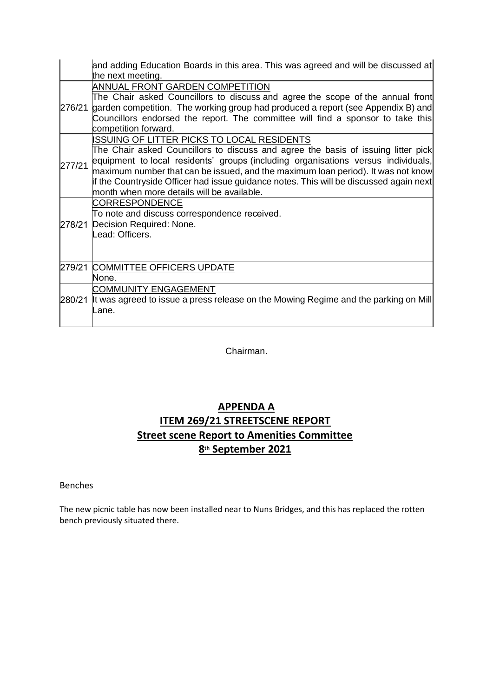|        | and adding Education Boards in this area. This was agreed and will be discussed at<br>the next meeting.                                                                                                                                                                                                                                                                                                                                                 |
|--------|---------------------------------------------------------------------------------------------------------------------------------------------------------------------------------------------------------------------------------------------------------------------------------------------------------------------------------------------------------------------------------------------------------------------------------------------------------|
| 276/21 | ANNUAL FRONT GARDEN COMPETITION<br>The Chair asked Councillors to discuss and agree the scope of the annual front<br>garden competition. The working group had produced a report (see Appendix B) and<br>Councillors endorsed the report. The committee will find a sponsor to take this<br>competition forward.                                                                                                                                        |
| 277/21 | <b>ISSUING OF LITTER PICKS TO LOCAL RESIDENTS</b><br>The Chair asked Councillors to discuss and agree the basis of issuing litter pick<br>equipment to local residents' groups (including organisations versus individuals,<br>maximum number that can be issued, and the maximum loan period). It was not know<br>if the Countryside Officer had issue guidance notes. This will be discussed again next<br>month when more details will be available. |
|        | CORRESPONDENCE<br>To note and discuss correspondence received.<br>278/21 Decision Required: None.<br>Lead: Officers.                                                                                                                                                                                                                                                                                                                                    |
|        | 279/21 COMMITTEE OFFICERS UPDATE<br>None.                                                                                                                                                                                                                                                                                                                                                                                                               |
|        | <b>COMMUNITY ENGAGEMENT</b><br>280/21 It was agreed to issue a press release on the Mowing Regime and the parking on Mill<br>Lane.                                                                                                                                                                                                                                                                                                                      |

Chairman.

# **APPENDA A ITEM 269/21 STREETSCENE REPORT Street scene Report to Amenities Committee 8th September 2021**

## Benches

The new picnic table has now been installed near to Nuns Bridges, and this has replaced the rotten bench previously situated there.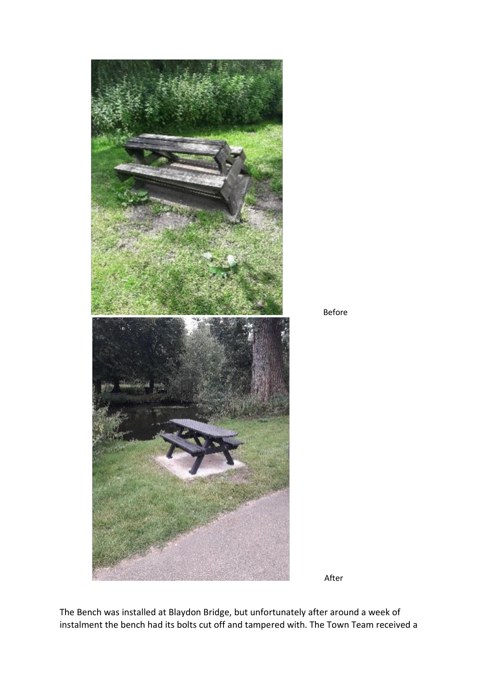

Before

After

The Bench was installed at Blaydon Bridge, but unfortunately after around a week of instalment the bench had its bolts cut off and tampered with. The Town Team received a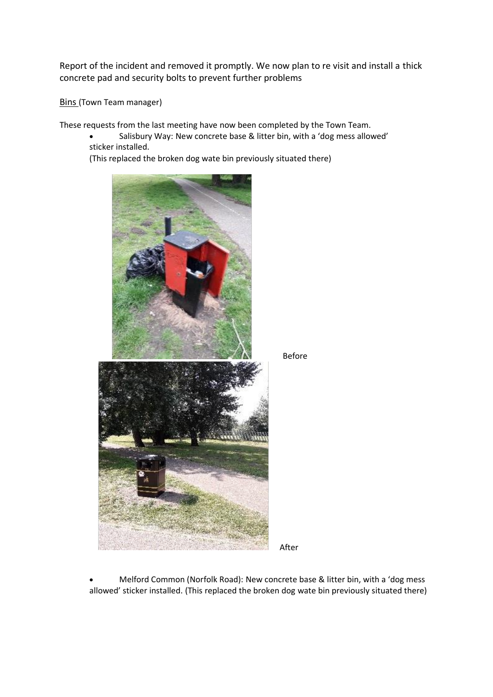Report of the incident and removed it promptly. We now plan to re visit and install a thick concrete pad and security bolts to prevent further problems

**Bins (Town Team manager)** 

These requests from the last meeting have now been completed by the Town Team.

• Salisbury Way: New concrete base & litter bin, with a 'dog mess allowed' sticker installed.

(This replaced the broken dog wate bin previously situated there)



Before

After

• Melford Common (Norfolk Road): New concrete base & litter bin, with a 'dog mess allowed' sticker installed. (This replaced the broken dog wate bin previously situated there)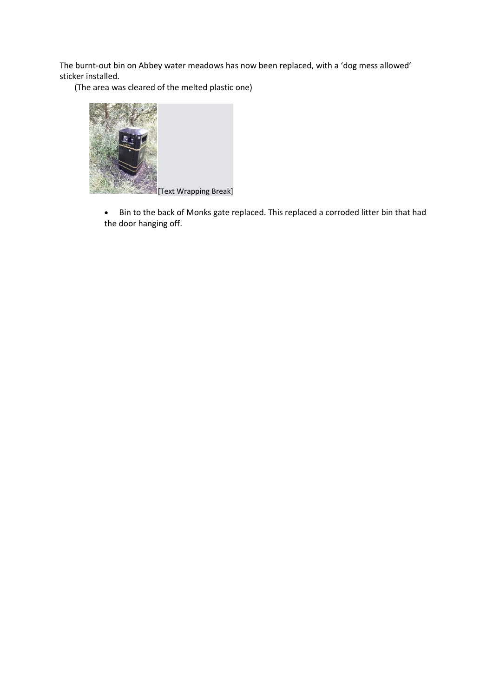The burnt-out bin on Abbey water meadows has now been replaced, with a 'dog mess allowed' sticker installed.

(The area was cleared of the melted plastic one)



• Bin to the back of Monks gate replaced. This replaced a corroded litter bin that had the door hanging off.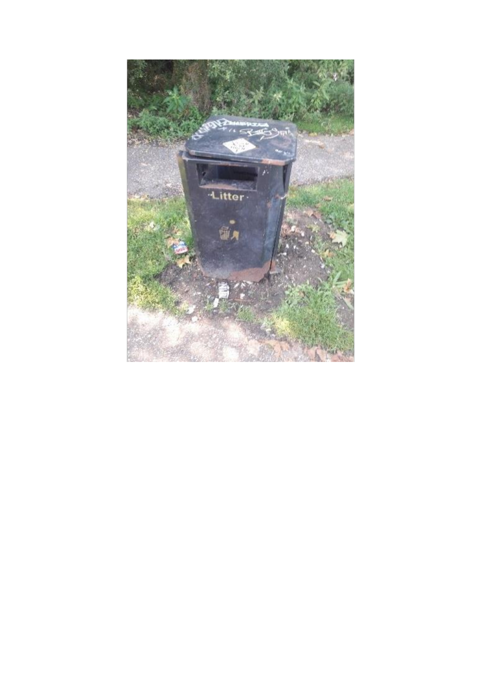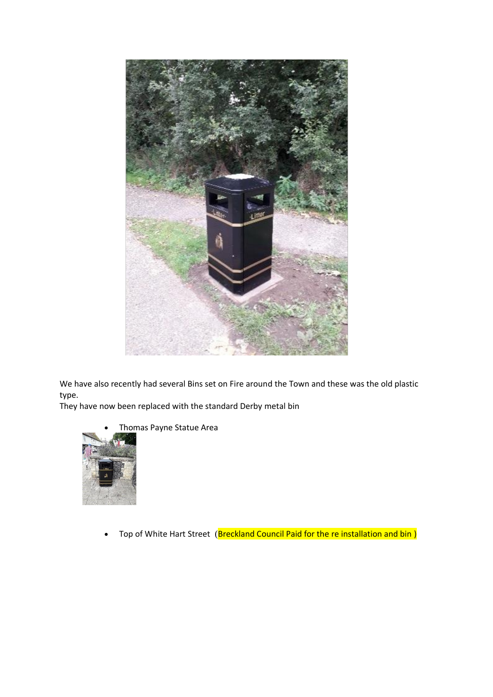

We have also recently had several Bins set on Fire around the Town and these was the old plastic type.

They have now been replaced with the standard Derby metal bin

• Thomas Payne Statue Area



• Top of White Hart Street (Breckland Council Paid for the re installation and bin)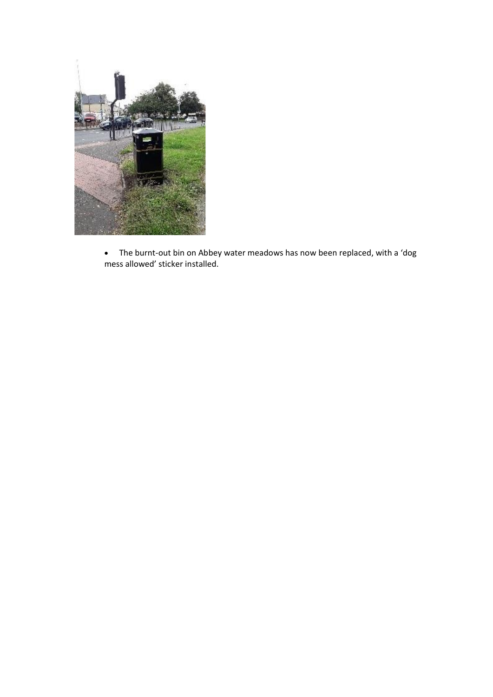

• The burnt-out bin on Abbey water meadows has now been replaced, with a 'dog mess allowed' sticker installed.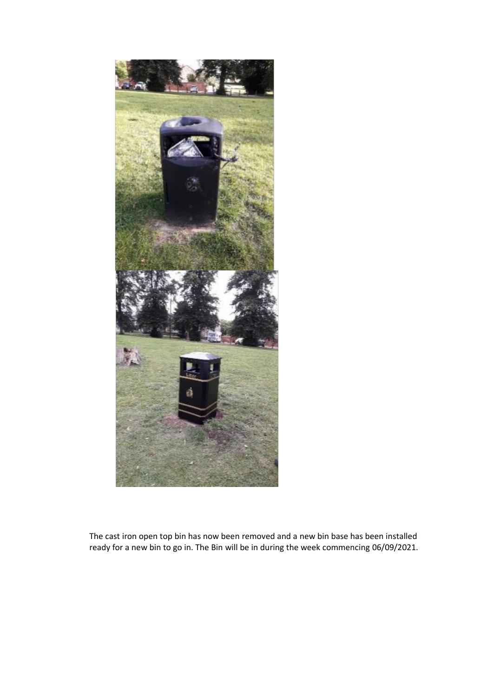

The cast iron open top bin has now been removed and a new bin base has been installed ready for a new bin to go in. The Bin will be in during the week commencing 06/09/2021.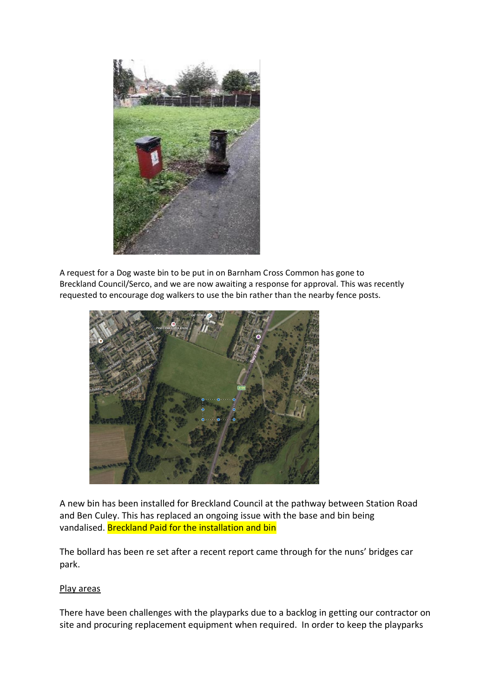

A request for a Dog waste bin to be put in on Barnham Cross Common has gone to Breckland Council/Serco, and we are now awaiting a response for approval. This was recently requested to encourage dog walkers to use the bin rather than the nearby fence posts.



A new bin has been installed for Breckland Council at the pathway between Station Road and Ben Culey. This has replaced an ongoing issue with the base and bin being vandalised. Breckland Paid for the installation and bin

The bollard has been re set after a recent report came through for the nuns' bridges car park.

## Play areas

There have been challenges with the playparks due to a backlog in getting our contractor on site and procuring replacement equipment when required. In order to keep the playparks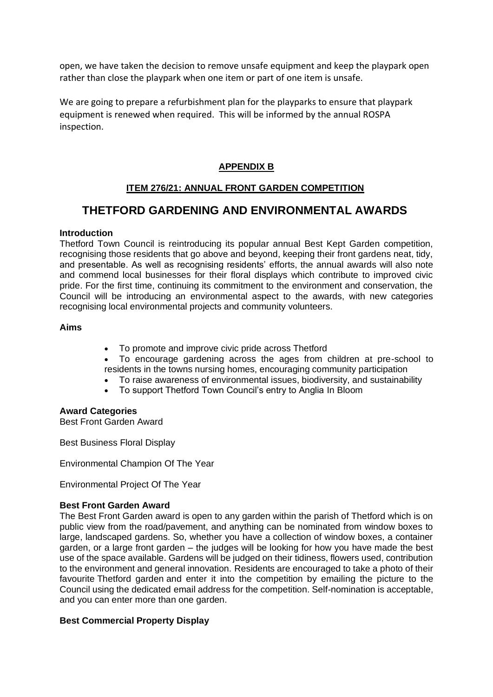open, we have taken the decision to remove unsafe equipment and keep the playpark open rather than close the playpark when one item or part of one item is unsafe.

We are going to prepare a refurbishment plan for the playparks to ensure that playpark equipment is renewed when required. This will be informed by the annual ROSPA inspection.

## **APPENDIX B**

#### **ITEM 276/21: ANNUAL FRONT GARDEN COMPETITION**

## **THETFORD GARDENING AND ENVIRONMENTAL AWARDS**

#### **Introduction**

Thetford Town Council is reintroducing its popular annual Best Kept Garden competition, recognising those residents that go above and beyond, keeping their front gardens neat, tidy, and presentable. As well as recognising residents' efforts, the annual awards will also note and commend local businesses for their floral displays which contribute to improved civic pride. For the first time, continuing its commitment to the environment and conservation, the Council will be introducing an environmental aspect to the awards, with new categories recognising local environmental projects and community volunteers.

#### **Aims**

- To promote and improve civic pride across Thetford
- To encourage gardening across the ages from children at pre-school to residents in the towns nursing homes, encouraging community participation
- To raise awareness of environmental issues, biodiversity, and sustainability
- To support Thetford Town Council's entry to Anglia In Bloom

#### **Award Categories**

Best Front Garden Award

Best Business Floral Display

Environmental Champion Of The Year

Environmental Project Of The Year

#### **Best Front Garden Award**

The Best Front Garden award is open to any garden within the parish of Thetford which is on public view from the road/pavement, and anything can be nominated from window boxes to large, landscaped gardens. So, whether you have a collection of window boxes, a container garden, or a large front garden – the judges will be looking for how you have made the best use of the space available. Gardens will be judged on their tidiness, flowers used, contribution to the environment and general innovation. Residents are encouraged to take a photo of their favourite Thetford garden and enter it into the competition by emailing the picture to the Council using the dedicated email address for the competition. Self-nomination is acceptable, and you can enter more than one garden.

#### **Best Commercial Property Display**